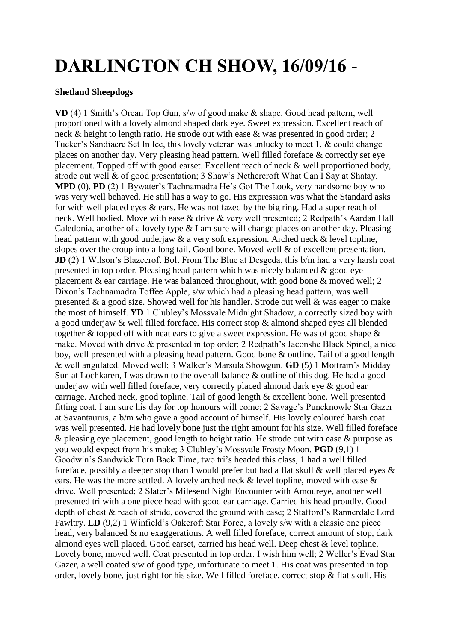## **DARLINGTON CH SHOW, 16/09/16 -**

## **Shetland Sheepdogs**

**VD** (4) 1 Smith's Orean Top Gun, s/w of good make & shape. Good head pattern, well proportioned with a lovely almond shaped dark eye. Sweet expression. Excellent reach of neck & height to length ratio. He strode out with ease & was presented in good order; 2 Tucker's Sandiacre Set In Ice, this lovely veteran was unlucky to meet 1, & could change places on another day. Very pleasing head pattern. Well filled foreface & correctly set eye placement. Topped off with good earset. Excellent reach of neck & well proportioned body, strode out well & of good presentation; 3 Shaw's Nethercroft What Can I Say at Shatay. **MPD** (0). **PD** (2) 1 Bywater's Tachnamadra He's Got The Look, very handsome boy who was very well behaved. He still has a way to go. His expression was what the Standard asks for with well placed eyes & ears. He was not fazed by the big ring. Had a super reach of neck. Well bodied. Move with ease & drive & very well presented; 2 Redpath's Aardan Hall Caledonia, another of a lovely type & I am sure will change places on another day. Pleasing head pattern with good underjaw & a very soft expression. Arched neck & level topline, slopes over the croup into a long tail. Good bone. Moved well & of excellent presentation. **JD** (2) 1 Wilson's Blazecroft Bolt From The Blue at Desgeda, this b/m had a very harsh coat presented in top order. Pleasing head pattern which was nicely balanced & good eye placement & ear carriage. He was balanced throughout, with good bone & moved well; 2 Dixon's Tachnamadra Toffee Apple, s/w which had a pleasing head pattern, was well presented & a good size. Showed well for his handler. Strode out well & was eager to make the most of himself. **YD** 1 Clubley's Mossvale Midnight Shadow, a correctly sized boy with a good underjaw & well filled foreface. His correct stop & almond shaped eyes all blended together & topped off with neat ears to give a sweet expression. He was of good shape & make. Moved with drive & presented in top order; 2 Redpath's Jaconshe Black Spinel, a nice boy, well presented with a pleasing head pattern. Good bone & outline. Tail of a good length & well angulated. Moved well; 3 Walker's Marsula Showgun. **GD** (5) 1 Mottram's Midday Sun at Lochkaren, I was drawn to the overall balance & outline of this dog. He had a good underjaw with well filled foreface, very correctly placed almond dark eye & good ear carriage. Arched neck, good topline. Tail of good length & excellent bone. Well presented fitting coat. I am sure his day for top honours will come; 2 Savage's Puncknowle Star Gazer at Savantaurus, a b/m who gave a good account of himself. His lovely coloured harsh coat was well presented. He had lovely bone just the right amount for his size. Well filled foreface & pleasing eye placement, good length to height ratio. He strode out with ease & purpose as you would expect from his make; 3 Clubley's Mossvale Frosty Moon. **PGD** (9,1) 1 Goodwin's Sandwick Turn Back Time, two tri's headed this class, 1 had a well filled foreface, possibly a deeper stop than I would prefer but had a flat skull  $\&$  well placed eyes  $\&$ ears. He was the more settled. A lovely arched neck & level topline, moved with ease & drive. Well presented; 2 Slater's Milesend Night Encounter with Amoureye, another well presented tri with a one piece head with good ear carriage. Carried his head proudly. Good depth of chest & reach of stride, covered the ground with ease; 2 Stafford's Rannerdale Lord Fawltry. **LD** (9,2) 1 Winfield's Oakcroft Star Force, a lovely s/w with a classic one piece head, very balanced & no exaggerations. A well filled foreface, correct amount of stop, dark almond eyes well placed. Good earset, carried his head well. Deep chest & level topline. Lovely bone, moved well. Coat presented in top order. I wish him well; 2 Weller's Evad Star Gazer, a well coated s/w of good type, unfortunate to meet 1. His coat was presented in top order, lovely bone, just right for his size. Well filled foreface, correct stop & flat skull. His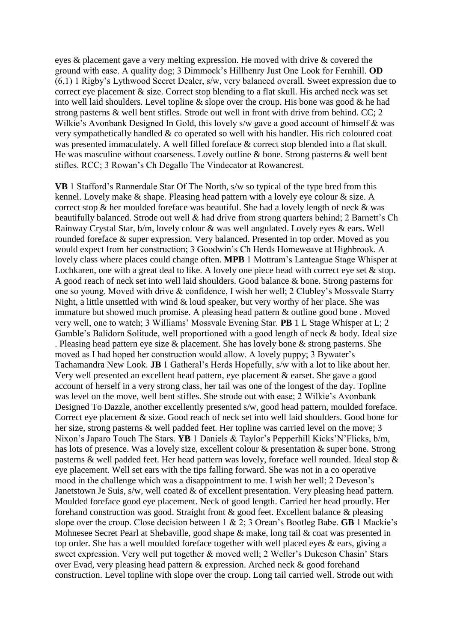eyes & placement gave a very melting expression. He moved with drive & covered the ground with ease. A quality dog; 3 Dimmock's Hillhenry Just One Look for Fernhill. **OD** (6,1) 1 Rigby's Lythwood Secret Dealer, s/w, very balanced overall. Sweet expression due to correct eye placement & size. Correct stop blending to a flat skull. His arched neck was set into well laid shoulders. Level topline  $\&$  slope over the croup. His bone was good  $\&$  he had strong pasterns & well bent stifles. Strode out well in front with drive from behind. CC; 2 Wilkie's Avonbank Designed In Gold, this lovely s/w gave a good account of himself & was very sympathetically handled & co operated so well with his handler. His rich coloured coat was presented immaculately. A well filled foreface & correct stop blended into a flat skull. He was masculine without coarseness. Lovely outline & bone. Strong pasterns & well bent stifles. RCC; 3 Rowan's Ch Degallo The Vindecator at Rowancrest.

**VB** 1 Stafford's Rannerdale Star Of The North, s/w so typical of the type bred from this kennel. Lovely make & shape. Pleasing head pattern with a lovely eye colour & size. A correct stop & her moulded foreface was beautiful. She had a lovely length of neck & was beautifully balanced. Strode out well & had drive from strong quarters behind; 2 Barnett's Ch Rainway Crystal Star, b/m, lovely colour & was well angulated. Lovely eyes & ears. Well rounded foreface & super expression. Very balanced. Presented in top order. Moved as you would expect from her construction; 3 Goodwin's Ch Herds Homeweave at Highbrook. A lovely class where places could change often. **MPB** 1 Mottram's Lanteague Stage Whisper at Lochkaren, one with a great deal to like. A lovely one piece head with correct eye set  $\&$  stop. A good reach of neck set into well laid shoulders. Good balance & bone. Strong pasterns for one so young. Moved with drive & confidence, I wish her well; 2 Clubley's Mossvale Starry Night, a little unsettled with wind & loud speaker, but very worthy of her place. She was immature but showed much promise. A pleasing head pattern & outline good bone . Moved very well, one to watch; 3 Williams' Mossvale Evening Star. **PB** 1 L Stage Whisper at L; 2 Gamble's Balidorn Solitude, well proportioned with a good length of neck & body. Ideal size . Pleasing head pattern eye size & placement. She has lovely bone & strong pasterns. She moved as I had hoped her construction would allow. A lovely puppy; 3 Bywater's Tachamandra New Look. **JB** 1 Gatheral's Herds Hopefully, s/w with a lot to like about her. Very well presented an excellent head pattern, eye placement & earset. She gave a good account of herself in a very strong class, her tail was one of the longest of the day. Topline was level on the move, well bent stifles. She strode out with ease; 2 Wilkie's Avonbank Designed To Dazzle, another excellently presented s/w, good head pattern, moulded foreface. Correct eye placement & size. Good reach of neck set into well laid shoulders. Good bone for her size, strong pasterns & well padded feet. Her topline was carried level on the move; 3 Nixon's Japaro Touch The Stars. **YB** 1 Daniels & Taylor's Pepperhill Kicks'N'Flicks, b/m, has lots of presence. Was a lovely size, excellent colour & presentation & super bone. Strong pasterns & well padded feet. Her head pattern was lovely, foreface well rounded. Ideal stop & eye placement. Well set ears with the tips falling forward. She was not in a co operative mood in the challenge which was a disappointment to me. I wish her well; 2 Deveson's Janetstown Je Suis, s/w, well coated & of excellent presentation. Very pleasing head pattern. Moulded foreface good eye placement. Neck of good length. Carried her head proudly. Her forehand construction was good. Straight front & good feet. Excellent balance & pleasing slope over the croup. Close decision between 1 & 2; 3 Orean's Bootleg Babe. **GB** 1 Mackie's Mohnesee Secret Pearl at Shebaville, good shape & make, long tail & coat was presented in top order. She has a well moulded foreface together with well placed eyes & ears, giving a sweet expression. Very well put together & moved well; 2 Weller's Dukeson Chasin' Stars over Evad, very pleasing head pattern & expression. Arched neck & good forehand construction. Level topline with slope over the croup. Long tail carried well. Strode out with